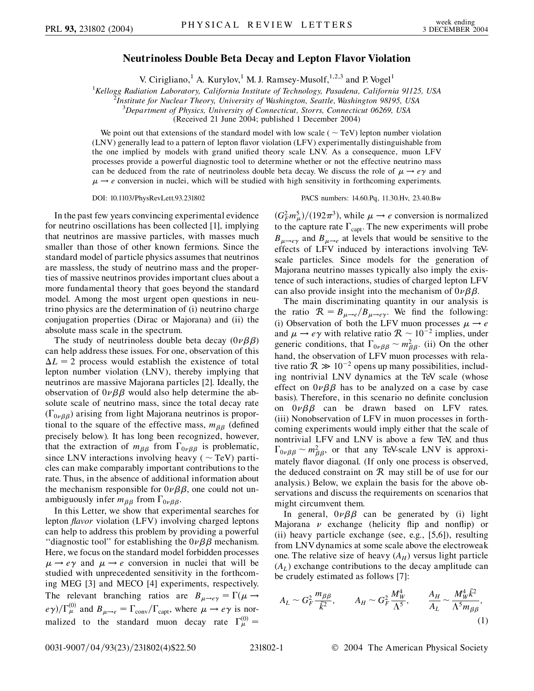## **Neutrinoless Double Beta Decay and Lepton Flavor Violation**

V. Cirigliano,<sup>1</sup> A. Kurylov,<sup>1</sup> M. J. Ramsey-Musolf,<sup>1,2,3</sup> and P. Vogel<sup>1</sup>

<sup>1</sup> Kellogg Radiation Laboratory, California Institute of Technology, Pasadena, California 91125, USA<br><sup>2</sup> Institute for Nuclear Theory, University of Washington, Seattle, Washington 98195, USA

*Institute for Nuclear Theory, University of Washington, Seattle, Washington 98195, USA*

3 *Department of Physics, University of Connecticut, Storrs, Connecticut 06269, USA*

(Received 21 June 2004; published 1 December 2004)

We point out that extensions of the standard model with low scale ( $\sim$  TeV) lepton number violation (LNV) generally lead to a pattern of lepton flavor violation (LFV) experimentally distinguishable from the one implied by models with grand unified theory scale LNV. As a consequence, muon LFV processes provide a powerful diagnostic tool to determine whether or not the effective neutrino mass can be deduced from the rate of neutrinoless double beta decay. We discuss the role of  $\mu \rightarrow e\gamma$  and  $\mu \rightarrow e$  conversion in nuclei, which will be studied with high sensitivity in forthcoming experiments.

DOI: 10.1103/PhysRevLett.93.231802 PACS numbers: 14.60.Pq, 11.30.Hv, 23.40.Bw

In the past few years convincing experimental evidence for neutrino oscillations has been collected [1], implying that neutrinos are massive particles, with masses much smaller than those of other known fermions. Since the standard model of particle physics assumes that neutrinos are massless, the study of neutrino mass and the properties of massive neutrinos provides important clues about a more fundamental theory that goes beyond the standard model. Among the most urgent open questions in neutrino physics are the determination of (i) neutrino charge conjugation properties (Dirac or Majorana) and (ii) the absolute mass scale in the spectrum.

The study of neutrinoless double beta decay  $(0\nu\beta\beta)$ can help address these issues. For one, observation of this  $\Delta L = 2$  process would establish the existence of total lepton number violation (LNV), thereby implying that neutrinos are massive Majorana particles [2]. Ideally, the observation of  $0\nu\beta\beta$  would also help determine the absolute scale of neutrino mass, since the total decay rate  $(\Gamma_{0\nu\beta\beta})$  arising from light Majorana neutrinos is proportional to the square of the effective mass,  $m_{\beta\beta}$  (defined precisely below). It has long been recognized, however, that the extraction of  $m_{\beta\beta}$  from  $\Gamma_{0\nu\beta\beta}$  is problematic, since LNV interactions involving heavy ( $\sim$  TeV) particles can make comparably important contributions to the rate. Thus, in the absence of additional information about the mechanism responsible for  $0\nu\beta\beta$ , one could not unambiguously infer  $m_{\beta\beta}$  from  $\Gamma_{0\nu\beta\beta}$ .

In this Letter, we show that experimental searches for lepton *flavor* violation (LFV) involving charged leptons can help to address this problem by providing a powerful "diagnostic tool" for establishing the  $0\nu\beta\beta$  mechanism. Here, we focus on the standard model forbidden processes  $\mu \rightarrow e\gamma$  and  $\mu \rightarrow e$  conversion in nuclei that will be studied with unprecedented sensitivity in the forthcoming MEG [3] and MECO [4] experiments, respectively. The relevant branching ratios are  $B_{\mu \to e\gamma} = \Gamma(\mu \to$  $(e\gamma)/\Gamma_{\mu}^{(0)}$  and  $B_{\mu\to e} = \Gamma_{\text{conv}}/\Gamma_{\text{capt}}$ , where  $\mu \to e\gamma$  is normalized to the standard muon decay rate  $\Gamma_{\mu}^{(0)} =$ 

 $(G_F^2 m_\mu^5)/(192 \pi^3)$ , while  $\mu \to e$  conversion is normalized to the capture rate  $\Gamma_{\text{capt}}$ . The new experiments will probe  $B_{\mu\rightarrow e\gamma}$  and  $B_{\mu\rightarrow e}$  at levels that would be sensitive to the effects of LFV induced by interactions involving TeVscale particles. Since models for the generation of Majorana neutrino masses typically also imply the existence of such interactions, studies of charged lepton LFV can also provide insight into the mechanism of  $0\nu\beta\beta$ .

The main discriminating quantity in our analysis is the ratio  $\mathcal{R} = B_{\mu \to e}/B_{\mu \to e\gamma}$ . We find the following: (i) Observation of both the LFV muon processes  $\mu \rightarrow e$ and  $\mu \rightarrow e\gamma$  with relative ratio  $\mathcal{R} \sim 10^{-2}$  implies, under generic conditions, that  $\Gamma_{0\nu\beta\beta} \sim m_{\beta\beta}^2$ . (ii) On the other hand, the observation of LFV muon processes with relative ratio  $R \gg 10^{-2}$  opens up many possibilities, including nontrivial LNV dynamics at the TeV scale (whose effect on  $0\nu\beta\beta$  has to be analyzed on a case by case basis). Therefore, in this scenario no definite conclusion on  $0\nu\beta\beta$  can be drawn based on LFV rates. (iii) Nonobservation of LFV in muon processes in forthcoming experiments would imply either that the scale of nontrivial LFV and LNV is above a few TeV, and thus  $\Gamma_{0\nu\beta\beta} \sim m_{\beta\beta}^2$ , or that any TeV-scale LNV is approximately flavor diagonal. (If only one process is observed, the deduced constraint on  $R$  may still be of use for our analysis.) Below, we explain the basis for the above observations and discuss the requirements on scenarios that might circumvent them.

In general,  $0\nu\beta\beta$  can be generated by (i) light Majorana  $\nu$  exchange (helicity flip and nonflip) or (ii) heavy particle exchange (see, e.g., [5,6]), resulting from LNV dynamics at some scale above the electroweak one. The relative size of heavy  $(A_H)$  versus light particle  $(A_L)$  exchange contributions to the decay amplitude can be crudely estimated as follows [7]:

$$
A_L \sim G_F^2 \frac{m_{\beta \beta}}{\bar{k}^2}, \qquad A_H \sim G_F^2 \frac{M_W^4}{\Lambda^5}, \qquad \frac{A_H}{A_L} \sim \frac{M_W^4 \bar{k}^2}{\Lambda^5 m_{\beta \beta}},
$$
\n(1)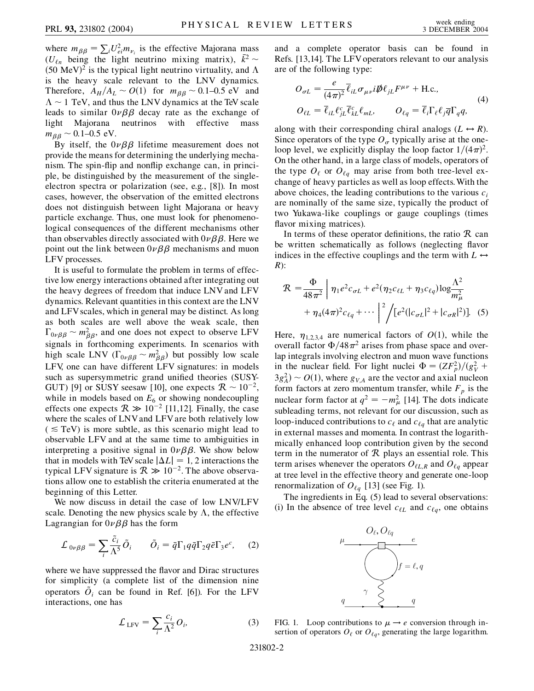where  $m_{\beta\beta} = \sum_i U_{ei}^2 m_{\nu_i}$  is the effective Majorana mass ( $U_{\ell n}$  being the light neutrino mixing matrix),  $\bar{k}^2$  ~  $(50 \text{ MeV})^2$  is the typical light neutrino virtuality, and  $\Lambda$ is the heavy scale relevant to the LNV dynamics. Therefore,  $A_H/A_L \sim O(1)$  for  $m_{BB} \sim 0.1$ –0.5 eV and  $\Lambda \sim 1$  TeV, and thus the LNV dynamics at the TeV scale leads to similar  $0\nu\beta\beta$  decay rate as the exchange of light Majorana neutrinos with effective mass  $m_{\beta\beta} \sim 0.1{\text{-}}0.5 \text{ eV}.$ 

By itself, the  $0\nu\beta\beta$  lifetime measurement does not provide the means for determining the underlying mechanism. The spin-flip and nonflip exchange can, in principle, be distinguished by the measurement of the singleelectron spectra or polarization (see, e.g., [8]). In most cases, however, the observation of the emitted electrons does not distinguish between light Majorana or heavy particle exchange. Thus, one must look for phenomenological consequences of the different mechanisms other than observables directly associated with  $0\nu\beta\beta$ . Here we point out the link between  $0\nu\beta\beta$  mechanisms and muon LFV processes.

It is useful to formulate the problem in terms of effective low energy interactions obtained after integrating out the heavy degrees of freedom that induce LNV and LFV dynamics. Relevant quantities in this context are the LNV and LFV scales, which in general may be distinct. As long as both scales are well above the weak scale, then  $\Gamma_{0\nu\beta\beta} \sim m_{\beta\beta}^2$ , and one does not expect to observe LFV signals in forthcoming experiments. In scenarios with high scale LNV ( $\Gamma_{0\nu\beta\beta} \sim m_{\beta\beta}^2$ ) but possibly low scale LFV, one can have different LFV signatures: in models such as supersymmetric grand unified theories (SUSY-GUT) [9] or SUSY seesaw [10], one expects  $\mathcal{R} \sim 10^{-2}$ , while in models based on  $E_6$  or showing nondecoupling effects one expects  $\mathcal{R} \gg 10^{-2}$  [11,12]. Finally, the case where the scales of LNVand LFVare both relatively low  $( $\leq$  TeV)$  is more subtle, as this scenario might lead to observable LFV and at the same time to ambiguities in interpreting a positive signal in  $0\nu\beta\beta$ . We show below that in models with TeV scale  $|\Delta L| = 1$ , 2 interactions the typical LFV signature is  $R \gg 10^{-2}$ . The above observations allow one to establish the criteria enumerated at the beginning of this Letter.

We now discuss in detail the case of low LNV/LFV scale. Denoting the new physics scale by  $\Lambda$ , the effective Lagrangian for  $0\nu\beta\beta$  has the form

$$
\mathcal{L}_{0\nu\beta\beta} = \sum_{i} \frac{\tilde{c}_{i}}{\Lambda^{5}} \tilde{O}_{i} \qquad \tilde{O}_{i} = \bar{q} \Gamma_{1} q \bar{q} \Gamma_{2} q \bar{e} \Gamma_{3} e^{c}, \qquad (2)
$$

where we have suppressed the flavor and Dirac structures for simplicity (a complete list of the dimension nine operators  $\ddot{O}_i$  can be found in Ref. [6]). For the LFV interactions, one has

$$
\mathcal{L}_{LFV} = \sum_{i} \frac{c_i}{\Lambda^2} O_i,
$$
\n(3)

and a complete operator basis can be found in Refs. [13,14]. The LFVoperators relevant to our analysis are of the following type:

$$
O_{\sigma L} = \frac{e}{(4\pi)^2} \overline{\ell}_{iL} \sigma_{\mu\nu} i \not{\!\!D} \ell_{jL} F^{\mu\nu} + \text{H.c.},
$$
  
\n
$$
O_{\ell L} = \overline{\ell}_{iL} \ell_{jL}^c \overline{\ell}_{kL}^c \ell_{mL}, \qquad O_{\ell q} = \overline{\ell}_{i} \Gamma_{\ell} \ell_{j} \overline{q} \Gamma_{q} q,
$$
\n
$$
(4)
$$

along with their corresponding chiral analogs  $(L \leftrightarrow R)$ . Since operators of the type  $O_{\sigma}$  typically arise at the oneloop level, we explicitly display the loop factor  $1/(4\pi)^2$ . On the other hand, in a large class of models, operators of the type  $O_{\ell}$  or  $O_{\ell q}$  may arise from both tree-level exchange of heavy particles as well as loop effects.With the above choices, the leading contributions to the various *ci* are nominally of the same size, typically the product of two Yukawa-like couplings or gauge couplings (times flavor mixing matrices).

In terms of these operator definitions, the ratio  $R$  can be written schematically as follows (neglecting flavor indices in the effective couplings and the term with  $L \leftrightarrow$ *R*):

$$
\mathcal{R} = \frac{\Phi}{48\pi^2} \left[ \eta_1 e^2 c_{\sigma L} + e^2 (\eta_2 c_{\ell L} + \eta_3 c_{\ell q}) \log \frac{\Lambda^2}{m_\mu^2} + \eta_4 (4\pi)^2 c_{\ell q} + \cdots \right]^2 / [e^2 (|c_{\sigma L}|^2 + |c_{\sigma R}|^2)].
$$
 (5)

Here,  $\eta_{1,2,3,4}$  are numerical factors of  $O(1)$ , while the overall factor  $\Phi/48\pi^2$  arises from phase space and overlap integrals involving electron and muon wave functions in the nuclear field. For light nuclei  $\Phi = (ZF_p^2)/(g_V^2 + g_V^2)$  $3g_A^2$   $\sim$  *O*(1), where  $g_{V,A}$  are the vector and axial nucleon form factors at zero momentum transfer, while  $F_p$  is the nuclear form factor at  $q^2 = -m_\mu^2$  [14]. The dots indicate subleading terms, not relevant for our discussion, such as loop-induced contributions to  $c_{\ell}$  and  $c_{\ell q}$  that are analytic in external masses and momenta. In contrast the logarithmically enhanced loop contribution given by the second term in the numerator of  $R$  plays an essential role. This term arises whenever the operators  $O_{\ell, R}$  and  $O_{\ell, q}$  appear at tree level in the effective theory and generate one-loop renormalization of  $O_{\ell q}$  [13] (see Fig. 1).

The ingredients in Eq. (5) lead to several observations: (i) In the absence of tree level  $c_{\ell L}$  and  $c_{\ell q}$ , one obtains



FIG. 1. Loop contributions to  $\mu \rightarrow e$  conversion through insertion of operators  $O_\ell$  or  $O_{\ell q}$ , generating the large logarithm.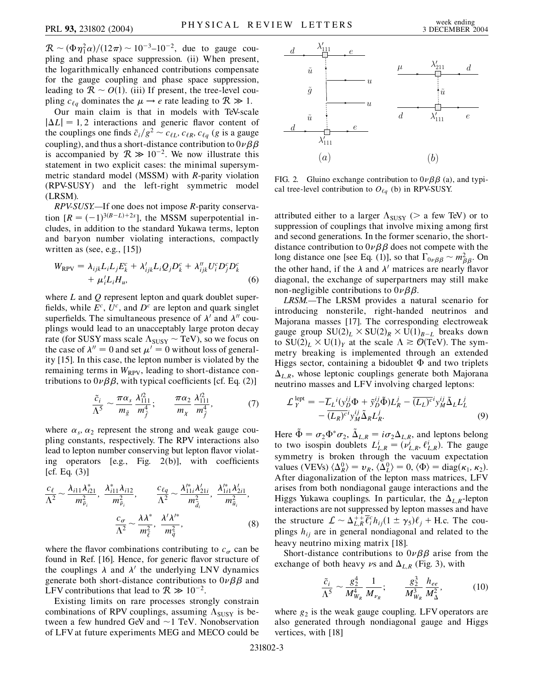$\mathcal{R} \sim (\Phi \eta_1^2 \alpha)/(12\pi) \sim 10^{-3} - 10^{-2}$ , due to gauge coupling and phase space suppression. (ii) When present, the logarithmically enhanced contributions compensate for the gauge coupling and phase space suppression, leading to  $R \sim O(1)$ . (iii) If present, the tree-level coupling  $c_{\ell q}$  dominates the  $\mu \rightarrow e$  rate leading to  $\mathcal{R} \gg 1$ .

Our main claim is that in models with TeV-scale  $|\Delta L| = 1, 2$  interactions and generic flavor content of the couplings one finds  $\tilde{c}_i/g^2 \sim c_{\ell L}$ ,  $c_{\ell R}$ ,  $c_{\ell q}$  (*g* is a gauge coupling), and thus a short-distance contribution to  $0\nu\beta\beta$ is accompanied by  $R \gg 10^{-2}$ . We now illustrate this statement in two explicit cases: the minimal supersymmetric standard model (MSSM) with *R*-parity violation (RPV-SUSY) and the left-right symmetric model (LRSM).

*RPV-SUSY.—*If one does not impose *R*-parity conservation  $[R = (-1)^{3(B-L)+2s}]$ , the MSSM superpotential includes, in addition to the standard Yukawa terms, lepton and baryon number violating interactions, compactly written as (see, e.g., [15])

$$
W_{\rm RPV} = \lambda_{ijk} L_i L_j E_k^c + \lambda'_{ijk} L_i Q_j D_k^c + \lambda''_{ijk} U_i^c D_j^c D_k^c
$$
  
+  $\mu'_i L_i H_u,$  (6)

where *L* and *Q* represent lepton and quark doublet superfields, while  $E^c$ ,  $U^c$ , and  $D^c$  are lepton and quark singlet superfields. The simultaneous presence of  $\lambda'$  and  $\lambda''$  couplings would lead to an unacceptably large proton decay rate (for SUSY mass scale  $\Lambda_{SUSY} \sim \text{TeV}$ ), so we focus on the case of  $\lambda'' = 0$  and set  $\mu' = 0$  without loss of generality [15]. In this case, the lepton number is violated by the remaining terms in  $W_{RPV}$ , leading to short-distance contributions to  $0\nu\beta\beta$ , with typical coefficients [cf. Eq. (2)]

$$
\frac{\tilde{c}_i}{\Lambda^5} \sim \frac{\pi \alpha_s}{m_{\tilde{g}}} \frac{\lambda_{111}^2}{m_{\tilde{f}}^4}; \qquad \frac{\pi \alpha_2}{m_{\chi}} \frac{\lambda_{111}^2}{m_{\tilde{f}}^4}, \tag{7}
$$

where  $\alpha_s$ ,  $\alpha_2$  represent the strong and weak gauge coupling constants, respectively. The RPV interactions also lead to lepton number conserving but lepton flavor violating operators [e.g., Fig. 2(b)], with coefficients  $[cf. Eq. (3)]$ 

$$
\frac{c_{\ell}}{\Lambda^2} \sim \frac{\lambda_{i11} \lambda_{i21}^*}{m_{\tilde{\nu}_i}^2}, \quad \frac{\lambda_{i11}^* \lambda_{i12}^*}{m_{\tilde{\nu}_i}^2}, \qquad \frac{c_{\ell q}}{\Lambda^2} \sim \frac{\lambda_{11i}^* \lambda_{21i}^{\prime}}{m_{\tilde{d}_i}^2}, \quad \frac{\lambda_{1i1}^* \lambda_{2i1}^{\prime}}{m_{\tilde{u}_i}^2},
$$
\n
$$
\frac{c_{\sigma}}{\Lambda^2} \sim \frac{\lambda \lambda^*}{m_{\tilde{\ell}}^2}, \quad \frac{\lambda^{\prime} \lambda^{\prime*}}{m_{\tilde{q}}^2}, \qquad (8)
$$

where the flavor combinations contributing to  $c_{\sigma}$  can be found in Ref. [16]. Hence, for generic flavor structure of the couplings  $\lambda$  and  $\lambda'$  the underlying LNV dynamics generate both short-distance contributions to  $0\nu\beta\beta$  and LFV contributions that lead to  $R \gg 10^{-2}$ .

Existing limits on rare processes strongly constrain combinations of RPV couplings, assuming  $\Lambda_{\text{SUSY}}$  is between a few hundred GeV and  $\sim$ 1 TeV. Nonobservation of LFV at future experiments MEG and MECO could be



FIG. 2. Gluino exchange contribution to  $0\nu\beta\beta$  (a), and typical tree-level contribution to  $O_{\ell q}$  (b) in RPV-SUSY.

attributed either to a larger  $\Lambda_{SUSY}$  ( $>$  a few TeV) or to suppression of couplings that involve mixing among first and second generations. In the former scenario, the shortdistance contribution to  $0\nu\beta\beta$  does not compete with the long distance one [see Eq. (1)], so that  $\Gamma_{0\nu\beta\beta} \sim m_{\beta\beta}^2$ . On the other hand, if the  $\lambda$  and  $\lambda'$  matrices are nearly flavor diagonal, the exchange of superpartners may still make non-negligible contributions to  $0\nu\beta\beta$ .

*LRSM.—*The LRSM provides a natural scenario for introducing nonsterile, right-handed neutrinos and Majorana masses [17]. The corresponding electroweak gauge group  $SU(2)_L \times SU(2)_R \times U(1)_{B-L}$  breaks down to  $SU(2)_L \times U(1)_Y$  at the scale  $\Lambda \geq O(TeV)$ . The symmetry breaking is implemented through an extended Higgs sector, containing a bidoublet  $\Phi$  and two triplets  $\Delta_{L,R}$ , whose leptonic couplings generate both Majorana neutrino masses and LFV involving charged leptons:

$$
\mathcal{L}_Y^{\text{ lept}} = -\overline{L}_L{}^i(y_D^{ij}\Phi + \tilde{y}_D^{ij}\tilde{\Phi})L_R^j - \overline{(L_L)^c}^i y_M^{ij}\tilde{\Delta}_L L_L^j
$$
  
 
$$
-\overline{(L_R)^c}^i y_M^{ij}\tilde{\Delta}_R L_R^j.
$$
 (9)

Here  $\tilde{\Phi} = \sigma_2 \Phi^* \sigma_2$ ,  $\tilde{\Delta}_{L,R} = i \sigma_2 \Delta_{L,R}$ , and leptons belong to two isospin doublets  $L_{L,R}^i = (\nu_{L,R}^i, \ell_{L,R}^i)$ . The gauge symmetry is broken through the vacuum expectation values (VEVs)  $\langle \Delta_R^0 \rangle = v_R$ ,  $\langle \Delta_L^0 \rangle = 0$ ,  $\langle \Phi \rangle = \text{diag}(\kappa_1, \kappa_2)$ . After diagonalization of the lepton mass matrices, LFV arises from both nondiagonal gauge interactions and the Higgs Yukawa couplings. In particular, the  $\Delta_{L,R}$ -lepton interactions are not suppressed by lepton masses and have the structure  $\mathcal{L} \sim \Delta_{L,R}^{++} \overline{\ell}_i^c h_{ij} (1 \pm \gamma_5) \ell_j + \text{H.c.}$  The couplings  $h_{ij}$  are in general nondiagonal and related to the heavy neutrino mixing matrix [18].

Short-distance contributions to  $0\nu\beta\beta$  arise from the exchange of both heavy  $\nu$ s and  $\Delta_{L,R}$  (Fig. 3), with

$$
\frac{\tilde{c}_i}{\Lambda^5} \sim \frac{g_2^4}{M_{W_R}^4} \frac{1}{M_{\nu_R}}; \qquad \frac{g_2^3}{M_{W_R}^3} \frac{h_{ee}}{M_{\Delta}^2},
$$
(10)

where  $g_2$  is the weak gauge coupling. LFV operators are also generated through nondiagonal gauge and Higgs vertices, with [18]